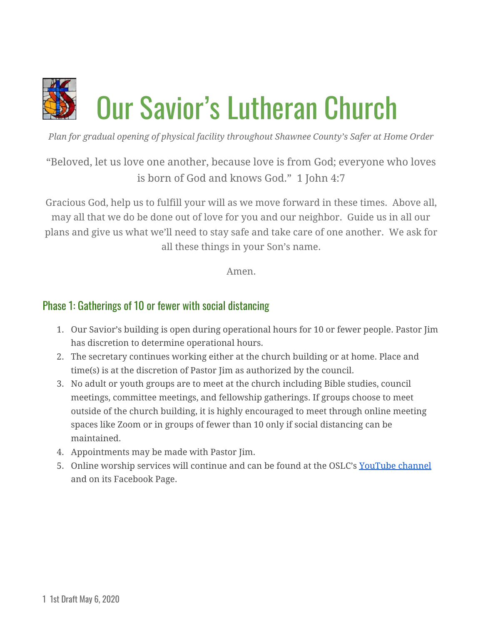

*Plan for gradual opening of physical facility throughout Shawnee County's Safer at Home Order*

"Beloved, let us love one another, because love is from God; everyone who loves is born of God and knows God." 1 John 4:7

Gracious God, help us to fulfill your will as we move forward in these times. Above all, may all that we do be done out of love for you and our neighbor. Guide us in all our plans and give us what we'll need to stay safe and take care of one another. We ask for all these things in your Son's name.

Amen.

### Phase 1: Gatherings of 10 or fewer with social distancing

- 1. Our Savior's building is open during operational hours for 10 or fewer people. Pastor Jim has discretion to determine operational hours.
- 2. The secretary continues working either at the church building or at home. Place and time(s) is at the discretion of Pastor Jim as authorized by the council.
- 3. No adult or youth groups are to meet at the church including Bible studies, council meetings, committee meetings, and fellowship gatherings. If groups choose to meet outside of the church building, it is highly encouraged to meet through online meeting spaces like Zoom or in groups of fewer than 10 only if social distancing can be maintained.
- 4. Appointments may be made with Pastor Jim.
- 5. Online worship services will continue and can be found at the OSLC's [YouTube](https://www.youtube.com/channel/UCsZtRIWOPRx5nqEy-QwLoGg) channel and on its Facebook Page.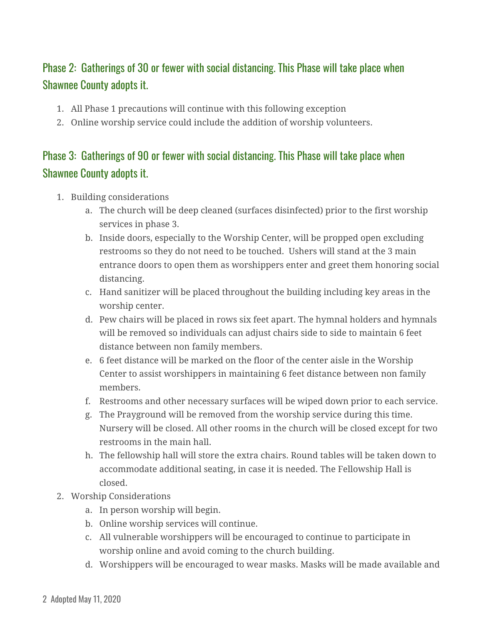# Phase 2: Gatherings of 30 or fewer with social distancing. This Phase will take place when Shawnee County adopts it.

- 1. All Phase 1 precautions will continue with this following exception
- 2. Online worship service could include the addition of worship volunteers.

# Phase 3: Gatherings of 90 or fewer with social distancing. This Phase will take place when Shawnee County adopts it.

- 1. Building considerations
	- a. The church will be deep cleaned (surfaces disinfected) prior to the first worship services in phase 3.
	- b. Inside doors, especially to the Worship Center, will be propped open excluding restrooms so they do not need to be touched. Ushers will stand at the 3 main entrance doors to open them as worshippers enter and greet them honoring social distancing.
	- c. Hand sanitizer will be placed throughout the building including key areas in the worship center.
	- d. Pew chairs will be placed in rows six feet apart. The hymnal holders and hymnals will be removed so individuals can adjust chairs side to side to maintain 6 feet distance between non family members.
	- e. 6 feet distance will be marked on the floor of the center aisle in the Worship Center to assist worshippers in maintaining 6 feet distance between non family members.
	- f. Restrooms and other necessary surfaces will be wiped down prior to each service.
	- g. The Prayground will be removed from the worship service during this time. Nursery will be closed. All other rooms in the church will be closed except for two restrooms in the main hall.
	- h. The fellowship hall will store the extra chairs. Round tables will be taken down to accommodate additional seating, in case it is needed. The Fellowship Hall is closed.
- 2. Worship Considerations
	- a. In person worship will begin.
	- b. Online worship services will continue.
	- c. All vulnerable worshippers will be encouraged to continue to participate in worship online and avoid coming to the church building.
	- d. Worshippers will be encouraged to wear masks. Masks will be made available and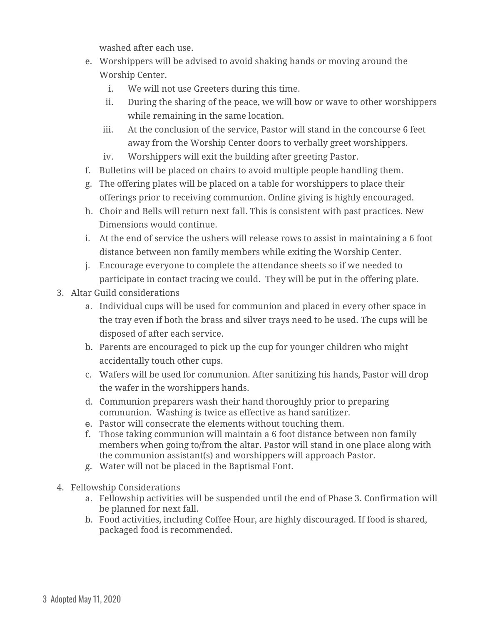washed after each use.

- e. Worshippers will be advised to avoid shaking hands or moving around the Worship Center.
	- i. We will not use Greeters during this time.
	- ii. During the sharing of the peace, we will bow or wave to other worshippers while remaining in the same location.
	- iii. At the conclusion of the service, Pastor will stand in the concourse 6 feet away from the Worship Center doors to verbally greet worshippers.
	- iv. Worshippers will exit the building after greeting Pastor.
- f. Bulletins will be placed on chairs to avoid multiple people handling them.
- g. The offering plates will be placed on a table for worshippers to place their offerings prior to receiving communion. Online giving is highly encouraged.
- h. Choir and Bells will return next fall. This is consistent with past practices. New Dimensions would continue.
- i. At the end of service the ushers will release rows to assist in maintaining a 6 foot distance between non family members while exiting the Worship Center.
- j. Encourage everyone to complete the attendance sheets so if we needed to participate in contact tracing we could. They will be put in the offering plate.
- 3. Altar Guild considerations
	- a. Individual cups will be used for communion and placed in every other space in the tray even if both the brass and silver trays need to be used. The cups will be disposed of after each service.
	- b. Parents are encouraged to pick up the cup for younger children who might accidentally touch other cups.
	- c. Wafers will be used for communion. After sanitizing his hands, Pastor will drop the wafer in the worshippers hands.
	- d. Communion preparers wash their hand thoroughly prior to preparing communion. Washing is twice as effective as hand sanitizer.
	- e. Pastor will consecrate the elements without touching them.
	- f. Those taking communion will maintain a 6 foot distance between non family members when going to/from the altar. Pastor will stand in one place along with the communion assistant(s) and worshippers will approach Pastor.
	- g. Water will not be placed in the Baptismal Font.
- 4. Fellowship Considerations
	- a. Fellowship activities will be suspended until the end of Phase 3. Confirmation will be planned for next fall.
	- b. Food activities, including Coffee Hour, are highly discouraged. If food is shared, packaged food is recommended.